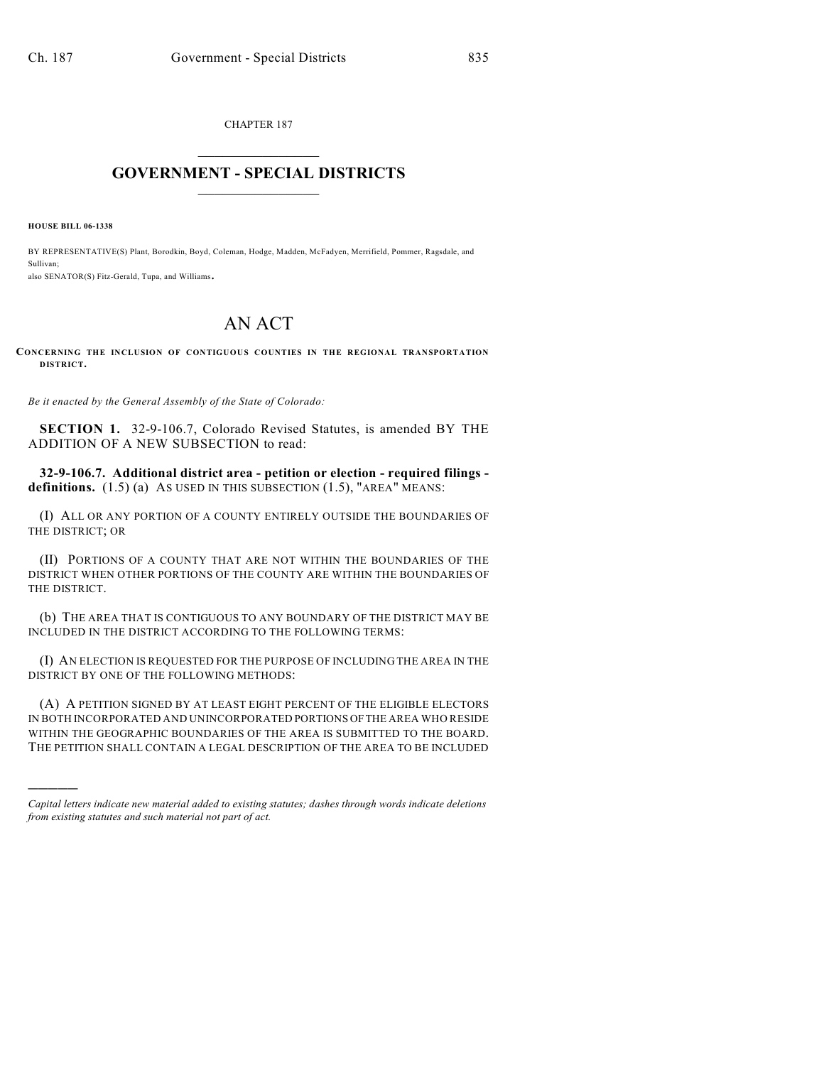CHAPTER 187  $\mathcal{L}_\text{max}$  . The set of the set of the set of the set of the set of the set of the set of the set of the set of the set of the set of the set of the set of the set of the set of the set of the set of the set of the set

## **GOVERNMENT - SPECIAL DISTRICTS**  $\_$

**HOUSE BILL 06-1338**

)))))

BY REPRESENTATIVE(S) Plant, Borodkin, Boyd, Coleman, Hodge, Madden, McFadyen, Merrifield, Pommer, Ragsdale, and Sullivan; also SENATOR(S) Fitz-Gerald, Tupa, and Williams.

## AN ACT

**CONCERNING THE INCLUSION OF CONTIGUOUS COUNTIES IN THE REGIONAL TRANSPORTATION DISTRICT.**

*Be it enacted by the General Assembly of the State of Colorado:*

**SECTION 1.** 32-9-106.7, Colorado Revised Statutes, is amended BY THE ADDITION OF A NEW SUBSECTION to read:

**32-9-106.7. Additional district area - petition or election - required filings**  definitions.  $(1.5)$  (a) As USED IN THIS SUBSECTION  $(1.5)$ , "AREA" MEANS:

(I) ALL OR ANY PORTION OF A COUNTY ENTIRELY OUTSIDE THE BOUNDARIES OF THE DISTRICT; OR

(II) PORTIONS OF A COUNTY THAT ARE NOT WITHIN THE BOUNDARIES OF THE DISTRICT WHEN OTHER PORTIONS OF THE COUNTY ARE WITHIN THE BOUNDARIES OF THE DISTRICT.

(b) THE AREA THAT IS CONTIGUOUS TO ANY BOUNDARY OF THE DISTRICT MAY BE INCLUDED IN THE DISTRICT ACCORDING TO THE FOLLOWING TERMS:

(I) AN ELECTION IS REQUESTED FOR THE PURPOSE OF INCLUDING THE AREA IN THE DISTRICT BY ONE OF THE FOLLOWING METHODS:

(A) A PETITION SIGNED BY AT LEAST EIGHT PERCENT OF THE ELIGIBLE ELECTORS IN BOTH INCORPORATED AND UNINCORPORATED PORTIONS OF THE AREA WHO RESIDE WITHIN THE GEOGRAPHIC BOUNDARIES OF THE AREA IS SUBMITTED TO THE BOARD. THE PETITION SHALL CONTAIN A LEGAL DESCRIPTION OF THE AREA TO BE INCLUDED

*Capital letters indicate new material added to existing statutes; dashes through words indicate deletions from existing statutes and such material not part of act.*